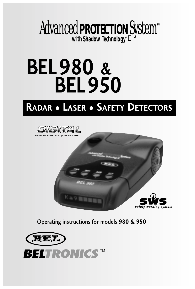

# **BEL980 & BEL950**

# **RADAR • LASER • SAFETY DETECTORS**





Operating instructions for models **980 & 950**

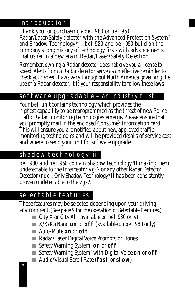# introduction

Thank you for purchasing a bel 980 or bel 950 Radar/Laser/Safety detector with the Advanced Protection System™ and Shadow Technology® II. bel 980 and bel 950 build on the company's long history of *technology firsts* with advancements that usher in a new era in Radar/Laser/Safety Detection.

*Remember, owning a Radar detector does not give you a license to speed. Alerts from a Radar detector serve as an effective reminder to check your speed. Laws vary throughout North America governing the use of a Radar detector. It is your responsibility to follow these laws.*

# software upgradable *– an industry first*

Your bel unit contains technology which provides the highest capability to be reprogrammed as the threat of new Police traffic Radar monitoring technologies emerge. Please ensure that you promptly mail in the enclosed Consumer Information card. This will ensure you are notified about new, approved traffic monitoring technologies and will be provided details of service cost and where to send your unit for software upgrade.

# shadow technology® ii

bel 980 and bel 950 contain Shadow Technology® II making them *undetectable* to the Interceptor vg-2 or any other Radar Detector Detector (rdd). Only Shadow Technology® II has been consistently proven *undetectable* to the vg-2.

# selectable features

These features may be selected depending upon your driving environment.(*See page 9 for the operation of Selectable Features.)*

- City X or City All *(available on bel 980 only)*
- X/K/Ka Band **on** or **off** *(available on bel 980 only)*
- Auto-Mute **on** or **off**
- Radar/Laser Digital Voice Prompts or "tones"
- Safety Warning System<sup>®</sup> on or off
- Safety Warning System<sup>®</sup> with Digital Voice **on** or **off**
- Audio/Visual Scroll Rate (**fast** or **slow**)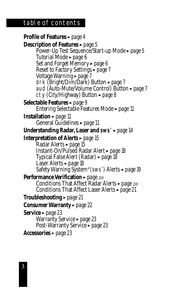# table of contents

**Profile of Features**  $\rightarrow$  *page* 4 **Description of Features**  $\rightarrow$  *page* 5 Power-Up Test Sequence/Start-up Mode *page* 5 Tutorial Mode ► *page 6* Set and Forget Memory *page* 6 Reset to Factory Settings ► *page* 7 Voltage Warning <sup>l</sup> *page 7* drk (Bright/Dim/Dark) Button <sup>l</sup> *page 7* aud (Auto-Mute/Volume Control) Button <sup>l</sup> *page 7* cty (City/Highway) Button <sup>l</sup> *page 8* Selectable Features ► *page* 9 Entering Selectable Features Mode ► *page 11* **Installation** ► *page* 11 General Guidelines - *page* 11 **Understanding Radar, Laser and sws™** ► *page* 14 **Interpretation of Alerts ►** *page* **15** Radar Alerts *rage* 15 Instant-On/Pulsed Radar Alert <sup>l</sup> *page 18* Typical False Alert (Radar) <sup>l</sup> *page 18* Laser Alerts > page 18 Safety Warning System® (sws™ ) Alerts <sup>l</sup> *page 19* **Performance Verification ►** *page* 20 Conditions That Affect Radar Alerts *page* 20 Conditions That Affect Laser Alerts  $\rightarrow$  *page 21* **Troubleshooting** <sup>l</sup> *page 21* **Consumer Warranty ►** *page* **22** Service ► *page* 23 Warranty Service <sup>l</sup> *page 23* Post-Warranty Service ► *page 23* Accessories ► *page* 23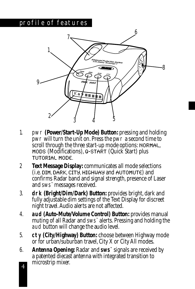## profile of features



- 1. pwr **(Power/Start-Up Mode) Button:** pressing and holding pwr will turn the unit on. Press the pwr a second time to scroll through the three start-up mode options: NORMAL, MODS (Modifications), Q-START (Quick Start) plus TUTORIAL MODE.
- 2 **Text Message Display:**communicates all mode selections  $(i.e.$  DIM, DARK, CITY, HIGHWAY and AUTOMUTE) and confirms Radar band and signal strength, presence of Laser and sws™ messages received.
- 3. **drk (Bright/Dim/Dark) Button:** provides bright, dark and fully adjustable dim settings of the Text Display for discreet night travel. Audio alerts are not affected.
- 4. **aud (Auto-Mute/Volume Control) Button:** provides manual muting of all Radar and sws™ alerts. Pressing and holding the aud button will change the audio level.
- 5. **cty (City/Highway) Button:** choose between Highway mode or for urban/suburban travel, City X or City All modes.
- 6. **Antenna Opening:** Radar and **sws™** signals are received by a patented diecast antenna with integrated transition to microstrip mixer.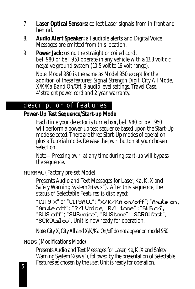- 7. **Laser Optical Sensors:** collect Laser signals from in front and behind.
- 8. **Audio Alert Speaker:** all audible alerts and Digital Voice Messages are emitted from this location.
- 9. **Power Jack:** using the straight or coiled cord, bel 980 or bel 950 operate in any vehicle with a 13.8 volt dc negative ground system (10.5 volt to 16 volt range).

*Note: Model 980 is the same as Model 950 except for the addition of these features: Signal Strength Digit, City All Mode, X/K/Ka Band On/Off, 9 audio level settings, Travel Case, 4' straight power cord and 2 year warranty.*

# description of features

**Power-Up Test Sequence/Start-up Mode**

Each time your detector is turned **on**, bel 980 or bel 950 will perform a power-up test sequence based upon the Start-Up mode selected. There are three Start-Up modes of operation plus a Tutorial mode. Release the pwr button at your chosen selection.

*Note—Pressing* pwr *at any time during start-up will bypass the sequence.*

NORMAL *(Factory pre-set Mode)*

Presents Audio and Text Messages for Laser, Ka, K, X and Safety Warning System® (sws™ ). After this sequence, the status of Selectable Features is displayed:

"CITY X" or "CITYALL"; "X/K/KA on/off"; "Amute on , "Amule off"; "R/LVoice, "R/L lone" ; "SWS on", "SWS off"; "SWSvoice", "SWStane"; "SCROLfast", "SCROL $\leq$ l $\infty$ ". Unit is now ready for operation.

*Note: City X,City All and X/K/Ka On/off do not appear on model 950*

MODS *(Modifications Mode)*

Presents Audio and Text Messages for Laser, Ka, K, X and Safety Warning System® (sws™), followed by the presentation of Selectable Features as chosen by the user. Unit is ready for operation.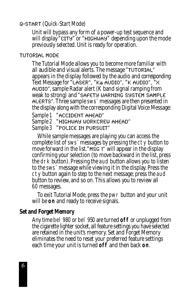## Q-START *(Quick-Start Mode)*

Unit will bypass any form of a power-up test sequence and will display "CITY" or "HIGHWAY" depending upon the mode previously selected. Unit is ready for operation.

#### TUTORIAL MODE

The Tutorial Mode allows you to become more familiar with all audible and visual alerts. The message "TUTORIAL" appears in the display followed by the audio and corresponding Text Message for "LASER", "Ka AUDIO", "K AUDIO", "X AUDIO", sample Radar alert (K band signal ramping from weak to strong) and "SAFETY WARNING SYSTEM SAMPLE ALERTS". Three sample sws™ messages are then presented in the display along with the corresponding Digital Voice Message: *Sample 1* "ACCIDENT AHEAD"

*Sample 2* "HIGHWAY WORKCREW AHEAD"

*Sample 3* "POLICE IN PURSUIT"

While sample messages are playing you can access the complete list of sws™ messages by pressing the cty button to move forward in the list."MSG 1" will appear in the display confirming your selection (to move backward in the list, press the drk button). Pressing the aud button allows you to listen to the sws™ message while viewing it in the display. Press the cty button again to step to the next message; press the aud button to review, and so on. This allows you to review all 60 messages.

To exit Tutorial Mode, press the pwr button and your unit will be **on** and ready to receive signals.

#### **Set and Forget Memory**

Any time bel 980 or bel 950 are turned **off** or unplugged from the cigarette lighter socket, all feature settings you have selected are retained in the unit's memory. Set and Forget Memory eliminates the need to reset your preferred feature settings each time your unit is turned **off** and then back **on**.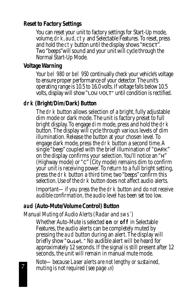#### **Reset to Factory Settings**

You can reset your unit to factory settings for Start-Up mode, volume,drk, aud, cty and Selectable Features. To reset, press and hold the cty button until the display shows "RESET". Two "beeps"will sound and your unit will cycle through the Normal Start-Up Mode.

#### **Voltage Warning**

Your bel 980 or bel 950 continually check your vehicle's voltage to ensure proper performance of your detector. The unit's operating range is 10.5 to 16.0 volts. If voltage falls below 10.5 volts, display will show "LOW VOLT" until condition is rectified.

#### **drk (Bright/Dim/Dark) Button**

The drk button allows selection of a bright, fully adjustable dim mode or dark mode. The unit is factory preset to full bright display. To engage dim mode, press and hold the drk button. The display will cycle through various levels of dim illumination. Release the button at your chosen level. To engage dark mode, press the drk button a second time. A single "beep" coupled with the brief illumination of "DARK" on the display confirms your selection. You'll notice an "H" (Highway mode) or "C" (City mode) remains dim to confirm your unit is receiving power. To return to a full bright setting, press the drk button a third time; two "beeps" confirm this selection. Use of the drk button does not affect audio alerts.

*Important—if you press the the drk button and do not receive audible confirmation, the audio level has been set too low.*

# **aud (Auto-Mute/Volume Control) Button**

*Manual Muting of Audio Alerts (Radar and sws™ )*

Whether Auto-Mute is selected **on** or **off** in Selectable Features, the audio alerts can be completely muted by pressing the aud button during an alert. The display will briefly show "Quiet." No audible alert will be heard for approximately 12 seconds. If the signal is still present after 12 seconds, the unit will remain in manual mute mode.

*Note—because Laser alerts are not lengthy or sustained, muting is not required (see page )*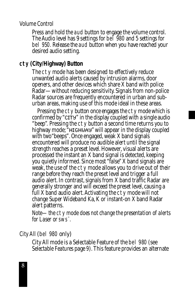#### *Volume Control*

Press and hold the aud button to engage the volume control. The Audio level has 9 settings for bel 980 and 5 settings for bel 950. Release the aud button when you have reached your desired audio setting.

#### **cty (City/Highway) Button**

The cty mode has been designed to effectively reduce unwanted audio alerts caused by intrusion alarms, door openers, and other devices which share X band with police Radar—without reducing sensitivity. Signals from non-police Radar sources are frequently encountered in urban and suburban areas, making use of this mode ideal in these areas.

Pressing the cty button once engages the cty mode which is confirmed by "CITY" in the display coupled with a single audio "beep". Pressing the cty button a second time returns you to highway mode; "HIGHWAY" will appear in the display coupled with two"beeps". Once engaged, weak X band signals encountered will produce no audible alert until the signal strength reaches a preset level. However, visual alerts are processed the instant an X band signal is detected, keeping you quietly informed. Since most "false" X band signals are weak, the use of the cty mode allows you to drive out of their range before they reach the preset level and trigger a full audio alert. In contrast, signals from X band traffic Radar are generally stronger and will exceed the preset level, causing a full X band audio alert. Activating the cty mode will not change Super Wideband Ka, K or instant-on X band Radar alert patterns.

*Note—the cty mode does not change the presentation of alerts for Laser or sws™ .*

#### *City All* (bel 980 *only*)

City All mode is a Selectable Feature of the bel 980 (see *Selectable Features* page 9). This feature provides an alternate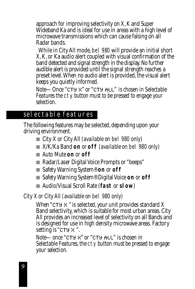approach for improving selectivity on X, K and Super Wideband Ka and is ideal for use in areas with a high level of microwave transmissions which can cause falsing on all Radar bands.

While in City All mode, bel 980 will provide an initial short X, K, or Ka audio alert coupled with visual confirmation of the band detected and signal strength in the display. No further audible alert is provided until the signal strength reaches a preset level. When no audio alert is provided, the visual alert keeps you quietly informed.

*Note—Once* "CTY X" or "CTY ALL" *is chosen in Selectable Features the* cty *button must to be pressed to engage your selection.*

# selectable features

The following features may be selected, depending upon your driving environment.

- City X or City All *(available on* bel 980 *only)*
- X/K/Ka Band **on** or **off** *(available on* bel 980 *only)*
- Auto Mute **on** or **off**
- Radar/Laser Digital Voice Prompts or "beeps"
- Safety Warning System<sup>®</sup> on or off
- Safety Warning System<sup>®</sup> Digital Voice **on** or **off**
- Audio/Visual Scroll Rate (**fast** or **slow**)

*City X or City All (available on* bel 980 *only)*

When "CTY X " is selected, your unit provides standard X Band selectivity, which is suitable for most urban areas. City All provides an increased level of selectivity on all Bands and is designed for use in high density microwave areas. Factory setting is "CTY X ".

*Note—once* "CTY X" or "CTY ALL" *is chosen in Selectable Features, the cty button must be pressed to engage your selection.*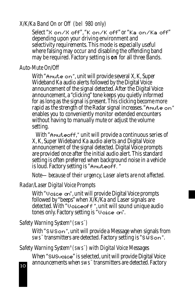#### *X/K/Ka Band On or Off (*bel 980 *only)*

Select "X on/X off", "K on/K off" or "Ka on/Ka off" depending upon your driving environment and selectivity requirements. This mode is especially useful where falsing may occur and disabling the offending band may be required. Factory setting is **on** for all three Bands.

#### *Auto-Mute On/Off*

With "Am ut  $e$  on", unit will provide several X, K, Super Wideband Ka audio alerts followed by the Digital Voice announcement of the signal detected. After the Digital Voice announcement, a "clicking" tone keeps you quietly informed for as long as the signal is present. This clicking become more rapid as the strength of the Radar signal increases. "Am ute on" enables you to conveniently monitor extended encounters without having to manually mute or adjust the volume setting.

With "Amuteoff," unit will provide a continuous series of X, K, Super Wideband Ka audio alerts and Digital Voice announcement of the signal detected. Digital Voice prompts are provided once after the initial audio alert. This standard setting is often preferred when background noise in a vehicle is loud. Factory setting is "Amuteoff." rapid as the strength of the Radar signal increases. "Aroute on"<br>enables you to conveniently monitor extended encounters<br>without having to manually mute or adjust the volume<br>setting.<br>With "Aroutesoft," unit will provide a

#### *Note—because of their urgency, Laser alerts are not affected.*

#### *Radar/Laser Digital Voice Prompts*

With "Voice on", unit will provide Digital Voice prompts followed by "beeps" when X/K/Ka and Laser signals are detected. With "Uoice of f", unit will sound unique audio tones only. Factory setting is "Voice on".

## *Safety Warning System® (sws™ )*

With "SWSon", unit will provide a Message when signals from sws<sup>™</sup> transmitters are detected. Factory setting is "SWSon".

## *Safety Warning System® (sws™ ) with Digital Voice Messages*

When "SUSvoice" is selected, unit will provide Digital Voice<br>announcements when sws" transmitters are detected. Factory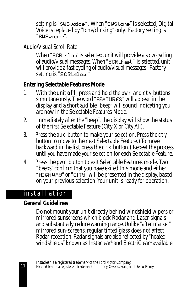setting is "SWSvoice". When "SWStone" is selected, Digital Voice is replaced by "tone/clicking" only. Factory setting is "SWSvoice".

## *Audio/Visual Scroll Rate*

When "SCRL $\leq l \in \omega$ " is selected, unit will provide a slow cycling of audio/visual messages. When "SCRLf ast" is selected, unit will provide a fast cycling of audio/visual messages. Factory setting is "SCRLslow.

## **Entering Selectable Features Mode**

- 1. With the unit **off**, press and hold the pwr and cty buttons simultaneously. The word "FEATURES" will appear in the display and a short audible "beep" will sound indicating you are now in the Selectable Features Mode.
- 2. Immediately after the "beep", the display will show the status of the first Selectable Feature (City X or City All).
- 3. Press the aud button to make your selection. Press the cty button to move to the next Selectable Feature. (To move backward in the list, press the drk button.) Repeat the process until you have made your selection for each Selectable Feature.
- 4. Press the pwr button to exit Selectable Features mode. Two "beeps" confirm that you have exited this mode and either "HIGHWAY" or "CITY" will be presented in the display, based on your previous selection. Your unit is ready for operation.

# installation

## **General Guidelines**

Do not mount your unit directly behind windshield wipers or mirrored sunscreens which block Radar and Laser signals and substantially reduce warning range. Unlike "after market" mirrored sun-screens, regular tinted glass does not affect Radar reception. Radar signals are also reflected by "heated windshields" known as Instaclear® and ElectriClear® available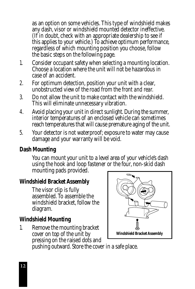as an option on some vehicles. This type of windshield makes any dash, visor or windshield mounted detector ineffective. (If in doubt, check with an appropriate dealership to see if this applies to your vehicle.) To achieve optimum performance, regardless of which mounting position you choose, follow the basic steps on the following page.

- 1. Consider occupant safety when selecting a mounting location. Choose a location where the unit will not be hazardous in case of an accident.
- 2. For optimum detection, position your unit with a clear, unobstructed view of the road from the *front and rear.*
- 3. Do not allow the unit to make contact with the windshield. This will eliminate unnecessary vibration.
- 4. Avoid placing your unit in direct sunlight. During the summer, interior temperatures of an enclosed vehicle can sometimes reach temperatures that will cause premature aging of the unit.
- 5. Your detector is not waterproof; exposure to water may cause damage and your warranty will be void.

## **Dash Mounting**

You can mount your unit to a level area of your vehicle's dash using the hook and loop fastener or the four, non-skid dash mounting pads provided.

## **Windshield Bracket Assembly**

The visor clip is fully assembled. To assemble the windshield bracket, follow the diagram.

# **Windshield Mounting**

1. Remove the mounting bracket cover on top of the unit by pressing on the raised dots and



pushing outward. Store the cover in a safe place.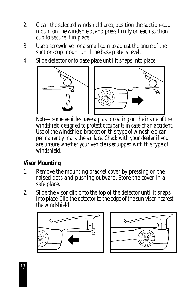- 2. Clean the selected windshield area, position the suction-cup mount on the windshield, and press firmly on each suction cup to secure it in place.
- 3. Use a screwdriver or a small coin to adjust the angle of the suction-cup mount until the base plate is level.
- 4. Slide detector onto base plate until it snaps into place.



*Note—some vehicles have a plastic coating on the inside of the windshield designed to protect occupants in case of an accident. Use of the windshield bracket on this type of windshield can permanently mark the surface. Check with your dealer if you are unsure whether your vehicle is equipped with this type of windshield.*

## **Visor Mounting**

- 1. Remove the mounting bracket cover by pressing on the raised dots and pushing outward. Store the cover in a safe place.
- 2. Slide the visor clip onto the top of the detector until it snaps into place. Clip the detector to the edge of the sun visor nearest the windshield.



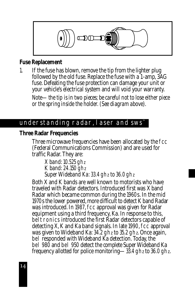

#### **Fuse Replacement**

1. If the fuse has blown, remove the tip from the lighter plug followed by the old fuse. Replace the fuse with a 1-amp, 3AG fuse. Defeating the fuse protection can damage your unit or your vehicle's electrical system and will void your warranty.

*Note—the tip is in two pieces; be careful not to lose either piece or the spring inside the holder. (See diagram above).*

## understanding radar, laser and sws

#### **Three Radar Frequencies**

Three microwave frequencies have been allocated by the fcc (Federal Communications Commission) and are used for traffic Radar. They are:

*X band: 10.525 gh<sup>z</sup> K band:24.150 gh<sup>z</sup> Super Wideband Ka: 33.4 gh<sup>z</sup> to 36.0 gh<sup>z</sup>*

Both X and K bands are well known to motorists who have traveled with Radar detectors. Introduced first was X band Radar which became common during the 1960s. In the mid 1970s the lower powered, more difficult to detect K band Radar was introduced. In 1987, fcc approval was given for Radar equipment using a third frequency, Ka. In response to this, beltronics introduced the first Radar detectors capable of detecting X, K and Ka band signals. In late 1990, fcc approval was given to Wideband Ka: 34.2 gh<sup>z</sup> to 35.2 ghz. Once again, bel responded with Wideband Ka detection. Today, the bel 980 and bel 950 detect the *complete* Super Wideband Ka frequency allotted for police monitoring—33.4 gh<sup>z</sup> to 36.0 ghz.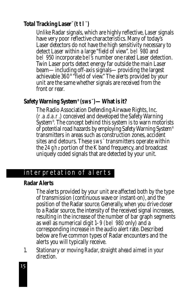## **Total Tracking Laser™ (ttl™ )**

Unlike Radar signals, which are highly reflective, Laser signals have very poor reflective characteristics. Many of today's Laser detectors do not have the high sensitivity necessary to detect Laser within a large "field of view". bel 980 and bel 950 incorporate bel's number one rated Laser detection. Twin Laser ports detect energy far outside the main Laser beam—including off-axis signals—providing the largest achievable 360° "field of view." The alerts provided by your unit are the same whether signals are received from the front or rear.

## **Safety Warning System® (sws™ )—What is it?**

The Radio Association Defending Airwave Rights, Inc. (r.a.d.a.r.) conceived and developed the Safety Warning System® . The concept behind this system is to warn motorists of potential road hazards by employing Safety Warning System® transmitters in areas such as construction zones, accident sites and detours. These sws™ transmitters operate within the 24 gh<sup>z</sup> portion of the K band frequency, and broadcast uniquely coded signals that are detected by your unit.

# interpretation of alerts

#### **Radar Alerts**

The alerts provided by your unit are affected both by the type of transmission (continuous wave or instant-on), and the position of the Radar source. Generally, when you drive closer to a Radar source, the intensity of the received signal increases, resulting in the increase of the number of bar graph segments as well as numerical digit 1–9 (bel 980 only) and a corresponding increase in the audio alert rate. Described below are five common types of Radar encounters and the alerts you will typically receive.

1. *Stationary or moving Radar, straight ahead aimed in your direction.*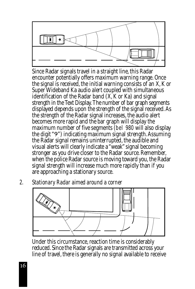

Since Radar signals travel in a straight line, this Radar encounter potentially offers maximum warning range. Once the signal is received, the initial warning consists of an X, K or Super Wideband Ka audio alert coupled with simultaneous identification of the Radar band (X, K or Ka) and signal strength in the Text Display. The number of bar graph segments displayed depends upon the strength of the signal received. As the strength of the Radar signal increases, the audio alert becomes more rapid and the bar graph will display the maximum number of five segments (bel 980 will also display the digit "9") indicating maximum signal strength. Assuming the Radar signal remains uninterrupted, the audible and visual alerts will clearly indicate a "weak" signal becoming stronger as you drive closer to the Radar source. Remember, when the police Radar source is moving toward you, the Radar signal strength will increase much more rapidly than if you are approaching a stationary source.

2. *Stationary Radar aimed around a corner*



Under this circumstance, reaction time is considerably reduced. Since the Radar signals are transmitted across your line of travel, there is generally no signal available to receive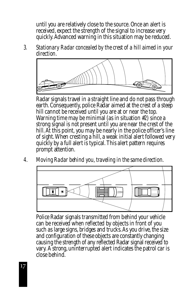until you are relatively close to the source. Once an alert is received, expect the strength of the signal to increase very quickly. Advanced warning in this situation may be reduced.

3. *Stationary Radar concealed by the crest of a hill aimed in your direction.*



Radar signals travel in a straight line and do not pass through earth. Consequently, police Radar aimed at the crest of a steep hill cannot be received until you are at or near the top. Warning time may be minimal (as in situation #2) since a strong signal is not present until you are near the crest of the hill. At this point, you may be nearly in the police officer's line of sight. When cresting a hill, a weak initial alert followed very quickly by a full alert is typical. This alert pattern requires prompt attention.

4. *Moving Radar behind you, traveling in the same direction.*



Police Radar signals transmitted from behind your vehicle can be received when reflected by objects in front of you such as large signs, bridges and trucks. As you drive, the size and configuration of these objects are constantly changing causing the strength of any reflected Radar signal received to vary. A strong, uninterrupted alert indicates the patrol car is close behind.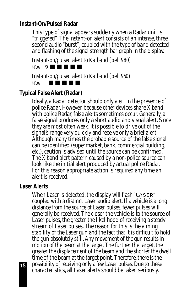## **Instant-On/Pulsed Radar**

This type of signal appears suddenly when a Radar unit is "triggered". The instant-on alert consists of an intense, three second audio "burst", coupled with the type of band detected and flashing of the signal strength bar graph in the display.

*Instant-on/pulsed alert to Ka band (bel 980)*

Ka 9 ■ ■ ■ ■ ■

*Instant-on/pulsed alert to Ka band (bel 950)*

Ka■ ■ ■ ■ ■

## **Typical False Alert (Radar)**

Ideally, a Radar detector should only alert in the presence of police Radar. However, because other devices share X band with police Radar, false alerts sometimes occur. Generally, a false signal produces only a short audio and visual alert. Since they are most often weak, it is possible to drive out of the signal's range very quickly and receive only a brief alert. Although many times the probable source of the false signal can be identified (supermarket, bank, commercial building, etc.), caution is advised until the source can be confirmed. The X band alert pattern caused by a non-police source can look like the initial alert produced by actual police Radar. For this reason appropriate action is required any time an alert is received.

#### **Laser Alerts**

When Laser is detected, the display will flash "LASER" coupled with a distinct Laser audio alert. If a vehicle is a long distance from the source of Laser pulses, fewer pulses will generally be received. The closer the vehicle is to the source of Laser pulses, the greater the likelihood of receiving a steady stream of Laser pulses. The reason for this is the aiming stability of the Laser gun and the fact that it is difficult to hold the gun absolutely still. Any movement of the gun results in motion of the beam at the target. The further the target, the greater the displacement of the beam and the shorter the dwell time of the beam at the target point. Therefore, there is the possibility of receiving only a few Laser pulses. Due to these characteristics, all Laser alerts should be taken seriously.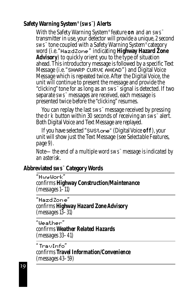# **Safety Warning System® (sws™ ) Alerts**

With the Safety Warning System® feature **on** and an sws™ transmitter in use, your detector will provide a unique,2second sws™ tone coupled with a Safety Warning System® category word (i.e."Ha z d Zo n e " indicating **Highway Hazard Zone Advisory**) to quickly orient you to the type of situation ahead. This introductory message is followed by a specific Text Message (i.e."SHARP CURVE AHEAD") and Digital Voice Message which is repeated twice. After the Digital Voice, the unit will continue to present the message and provide the "clicking" tone for as long as an sws™ signal is detected. If two separate sws™ messages are received, each message is presented twice before the "clicking" resumes.

You can replay the last sws™ message received by pressing the drk button within 30 seconds of receiving an sws™ alert. Both Digital Voice and Text Message are replayed.

If you have selected "SWSt.one" (Digital Voice off), your unit will show just the Text Message (see *Selectable Features*, page 9).

*Note—the end of a multiple word sws™ message is indicated by an asterisk.*

## **Abbreviated sws™ Category Words**

"Hwy Work" *confirms Highway Construction/Maintenance (messages 1–11)*

"Ha z d Zo n e " *confirms Highway Hazard Zone Advisory (messages 13–31)*

*"*We a t h e r " *confirms Weather Related Hazards (messages 33–41)*

*"* Tr a v In fo " *confirms Travel Information/Convenience (messages 43–59)*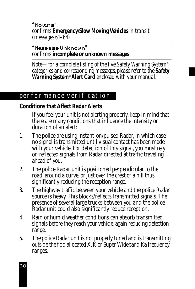"Movins" *confirms Emergency/Slow Moving Vehicles in transit (messages 61–64)*

"Me s s a g e Un k n o w n " *confirms incomplete or unknown messages*

*Note—for a complete listing of the five Safety Warning System® categories and corresponding messages, please refer to the Safety Warning System® Alert Card enclosed with your manual.*

# performance verification

## **Conditions that Affect Radar Alerts**

If you feel your unit is not alerting properly, keep in mind that there are many conditions that influence the intensity or duration of an alert:

- 1. The police are using instant-on/pulsed Radar, in which case no signal is transmitted until visual contact has been made with your vehicle. For detection of this signal, you must rely on reflected signals from Radar directed at traffic traveling ahead of you.
- 2. The police Radar unit is positioned perpendicular to the road, around a curve, or just over the crest of a hill thus significantly reducing the reception range.
- 3. The highway traffic between your vehicle and the police Radar source is heavy. This blocks/reflects transmitted signals. The presence of several large trucks between you and the police Radar unit could also significantly reduce reception.
- 4. Rain or humid weather conditions can absorb transmitted signals before they reach your vehicle, again reducing detection range.
- 5. The police Radar unit is not properly tuned and is transmitting outside the fcc allocated  $X$ ,  $\tilde{K}$  or Super Wideband Ka frequency ranges.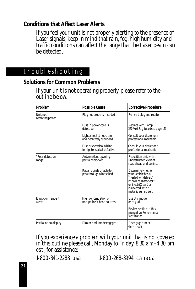## **Conditions that Affect Laser Alerts**

If you feel your unit is not properly alerting to the presence of Laser signals, keep in mind that rain, fog, high humidity and traffic conditions can affect the range that the Laser beam can be detected.

# troubleshooting

#### **Solutions for Common Problems**

If your unit is not operating properly, please refer to the outline below.

| Problem                              | <b>Possible Cause</b>                                     | <b>Corrective Procedure</b>                                                                                                                                             |  |
|--------------------------------------|-----------------------------------------------------------|-------------------------------------------------------------------------------------------------------------------------------------------------------------------------|--|
| Unit not<br>receiving power          | Plug not properly inserted                                | Reinsert plug and rotate                                                                                                                                                |  |
|                                      | Fuse in power cord is<br>defective                        | Replace with 1 amp<br>250 Volt 3ag fuse (see page 14)                                                                                                                   |  |
|                                      | Lighter socket not clean<br>and negatively grounded       | Consult your dealer or a<br>professional mechanic                                                                                                                       |  |
|                                      | Fuse or electrical wiring<br>for lighter socket defective | Consult your dealer or a<br>professional mechanic                                                                                                                       |  |
| "Poor detection<br>range"            | Antenna/lens opening<br>partially blocked                 | Reposition unit with<br>unobstructed view of<br>road ahead and behind.                                                                                                  |  |
|                                      | Radar signals unable to<br>pass through windshield        | Determine whether<br>vour vehicle has a<br>"heated windshield"<br>known as Instaclear <sup>®</sup><br>or ElectriClear", or<br>is covered with a<br>metallic sun screen. |  |
| <b>Erratic or frequent</b><br>alerts | High concentration of<br>non-police X band sources        | Use cty mode<br>or cty all                                                                                                                                              |  |
|                                      |                                                           | Review section in this<br>manual on Performance<br>Verification                                                                                                         |  |
| Partial or no display                | Dim or dark mode engaged                                  | Disengage dim or<br>dark mode                                                                                                                                           |  |

If you experience a problem with your unit that is not covered in this outline please call, Monday to Friday, 8:30 am–4:30 pm est, for assistance:

1-800-341-2288 usa 1-800-268-3994 canada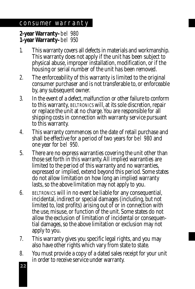# consumer warranty

**2-year Warranty–**bel 980 **1-year Warranty–**bel 950

- 1. This warranty covers all defects in materials and workmanship. This warranty does not apply if the unit has been subject to physical abuse, improper installation, modification, or if the housing or serial number of the unit has been removed.
- 2. The enforceability of this warranty is limited to the original consumer purchaser and is not transferable to, or enforceable by, any subsequent owner.
- 3. In the event of a defect, malfunction or other failure to conform to this warranty, BELTRONICS will, at its sole discretion, repair or replace the unit at no charge. You are responsible for all shipping costs in connection with warranty service pursuant to this warranty.
- 4. This warranty commences on the date of retail purchase and shall be effective for a period of two years for bel 980 and one year for bel 950.
- 5. There are no express warranties covering the unit other than those set forth in this warranty. All implied warranties are limited to the period of this warranty and no warranties, expressed or implied, extend beyond this period. Some states do not allow limitation on how long an implied warranty lasts, so the above limitation may not apply to you.
- 6.BELTRONICS will in no event be liable for any consequential, incidental, indirect or special damages (including, but not limited to, lost profits) arising out of or in connection with the use, misuse, or function of the unit. Some states do not allow the exclusion of limitation of incidental or consequential damages, so the above limitation or exclusion may not apply to you.
- 7. This warranty gives you specific legal rights, and you may also have other rights which vary from state to state.
- 8. You must provide a copy of a dated sales receipt for your unit in order to receive service under warranty.

 $\overline{22}$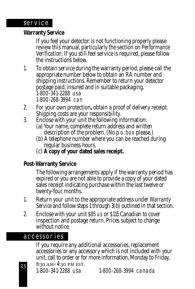#### **Warranty Service**

If you feel your detector is not functioning properly please review this manual, particularly the section on *Performance Verification*. If you still feel service is required, please follow the instructions below.

- 1. To obtain service during the warranty period, please call the appropriate number below to obtain an RA number and shipping instructions. Remember to return your detector postage paid, insured and in suitable packaging. 1-800-341-2288 usa 1-800-268-3994 can
- 2. For your own protection**,** obtain a proof of delivery receipt. Shipping costs are your responsibility.
- 3. Enclose with your unit the following information:
	- (a) Your name, complete return address and written description of the problem. (No p. o. box please.)
	- (b) A telephone number where you can be reached during regular business hours.
	- (c) **A copy of your dated sales receipt.**

## **Post-Warranty Service**

The following arrangements apply if the warranty period has expired or you are not able to provide a copy of your dated sales receipt indicating purchase within the last twelve or twenty-four months.

- 1. Return your unit to the appropriate address under *Warranty Service* and follow steps 1 through 3(b) outlined in that section.
- 2. Enclose with your unit \$85 us or \$115 Canadian to cover inspection and postage return. Prices subject to change without notice.

# accessories

If you require any additional accessories, replacement accessories or any accessory which is not included with your unit, call to order or for more information, Monday to Friday, 8:30 AM-4:30 PM EST. 1-800-341-2288 usa 1-800-268-3994 canada